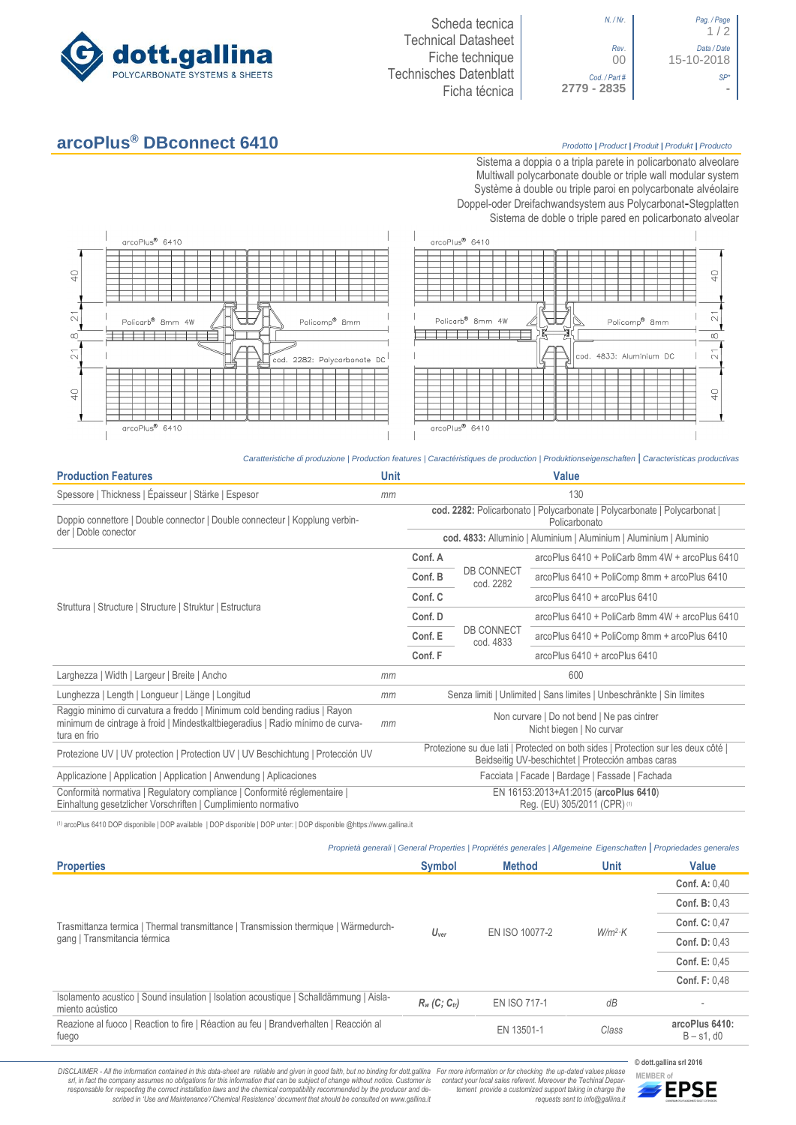

| Pag. / Page<br>1/2        | N. / Nr.                    |
|---------------------------|-----------------------------|
| Data / Date<br>15-10-2018 | Rev.<br>00                  |
|                           | Cod. / Part#<br>2779 - 2835 |

*N. / Nr*. *Pag. / Page* 1 / 2 *Rev*. *Data / Date* 00 15-10-2018 *Cod. / Part # SP\**

## **arcoPlus® DBconnect 6410** *Prodotto <sup>|</sup> Product <sup>|</sup> Produit <sup>|</sup> Produkt <sup>|</sup> Producto*

Sistema a doppia o a tripla parete in policarbonato alveolare Multiwall polycarbonate double or triple wall modular system Système à double ou triple paroi en polycarbonate alvéolaire Doppel-oder Dreifachwandsystem aus Polycarbonat-Stegplatten Sistema de doble o triple pared en policarbonato alveolar



*Caratteristiche di produzione | Production features | Caractéristiques de production | Produktionseigenschaften* **|** *Caracteristicas productivas*

| <b>Production Features</b>                                                                                                                                                 | <b>Unit</b> | <b>Value</b>                                                                                                                            |                                |                                                                     |  |
|----------------------------------------------------------------------------------------------------------------------------------------------------------------------------|-------------|-----------------------------------------------------------------------------------------------------------------------------------------|--------------------------------|---------------------------------------------------------------------|--|
| Spessore   Thickness   Épaisseur   Stärke   Espesor                                                                                                                        | mm          | 130                                                                                                                                     |                                |                                                                     |  |
| Doppio connettore   Double connector   Double connecteur   Kopplung verbin-                                                                                                |             | cod. 2282: Policarbonato   Polycarbonate   Polycarbonate   Polycarbonat  <br>Policarbonato                                              |                                |                                                                     |  |
| der   Doble conector                                                                                                                                                       |             |                                                                                                                                         |                                | cod. 4833: Alluminio   Aluminium   Aluminium   Aluminium   Aluminio |  |
|                                                                                                                                                                            |             | Conf. A                                                                                                                                 |                                | arcoPlus 6410 + PoliCarb 8mm 4W + arcoPlus 6410                     |  |
|                                                                                                                                                                            |             | Conf. B                                                                                                                                 | <b>DB CONNECT</b><br>cod. 2282 | arcoPlus 6410 + PoliComp 8mm + arcoPlus 6410                        |  |
| Struttura   Structure   Structure   Struktur   Estructura                                                                                                                  |             | Conf. C                                                                                                                                 |                                | arcoPlus 6410 + arcoPlus 6410                                       |  |
|                                                                                                                                                                            |             | Conf. D                                                                                                                                 | <b>DB CONNECT</b><br>cod. 4833 | $arcoPlus 6410 + PoliCarb 8mm 4W + arcoPlus 6410$                   |  |
|                                                                                                                                                                            |             | Conf. E                                                                                                                                 |                                | arcoPlus 6410 + PoliComp 8mm + arcoPlus 6410                        |  |
|                                                                                                                                                                            |             | Conf. F                                                                                                                                 |                                | arcoPlus 6410 + arcoPlus 6410                                       |  |
| Larghezza   Width   Largeur   Breite   Ancho                                                                                                                               | mm          | 600                                                                                                                                     |                                |                                                                     |  |
| Lunghezza   Length   Longueur   Länge   Longitud                                                                                                                           | mm          | Senza limiti   Unlimited   Sans limites   Unbeschränkte   Sin límites                                                                   |                                |                                                                     |  |
| Raggio minimo di curvatura a freddo   Minimum cold bending radius   Rayon<br>minimum de cintrage à froid   Mindestkaltbiegeradius   Radio mínimo de curva-<br>tura en frio | mm          | Non curvare   Do not bend   Ne pas cintrer<br>Nicht biegen   No curvar                                                                  |                                |                                                                     |  |
| Protezione UV   UV protection   Protection UV   UV Beschichtung   Protección UV                                                                                            |             | Protezione su due lati   Protected on both sides   Protection sur les deux côté  <br>Beidseitig UV-beschichtet   Protección ambas caras |                                |                                                                     |  |
| Applicazione   Application   Application   Anwendung   Aplicaciones                                                                                                        |             | Facciata   Facade   Bardage   Fassade   Fachada                                                                                         |                                |                                                                     |  |
| Conformità normativa   Regulatory compliance   Conformité réglementaire  <br>Einhaltung gesetzlicher Vorschriften   Cumplimiento normativo                                 |             | EN 16153:2013+A1:2015 (arcoPlus 6410)<br>Reg. (EU) 305/2011 (CPR) (1)                                                                   |                                |                                                                     |  |

(1) arcoPlus 6410 DOP disponibile | DOP available | DOP disponible | DOP unter: | DOP disponible @https://www.gallina.it

|  | Proprietà generali   General Properties   Propriétés generales   Allgemeine Eigenschaften   Propriedades generales |  |  |
|--|--------------------------------------------------------------------------------------------------------------------|--|--|
|  |                                                                                                                    |  |  |

| <b>Properties</b>                                                                                                   | <b>Symbol</b>    | <b>Method</b>       | Unit      | <b>Value</b>                       |
|---------------------------------------------------------------------------------------------------------------------|------------------|---------------------|-----------|------------------------------------|
| Trasmittanza termica   Thermal transmittance   Transmission thermique   Wärmedurch-<br>gang   Transmitancia térmica | $U_{\text{ver}}$ | EN ISO 10077-2      | $W/m^2$ K | <b>Conf. A: 0.40</b>               |
|                                                                                                                     |                  |                     |           | <b>Conf. B: 0.43</b>               |
|                                                                                                                     |                  |                     |           | <b>Conf. C: 0.47</b>               |
|                                                                                                                     |                  |                     |           | <b>Conf. D: 0.43</b>               |
|                                                                                                                     |                  |                     |           | <b>Conf. E: 0.45</b>               |
|                                                                                                                     |                  |                     |           | <b>Conf. F: 0.48</b>               |
| Isolamento acustico   Sound insulation   Isolation acoustique   Schalldämmung   Aisla-<br>miento acústico           | $R_w(C; C_{tr})$ | <b>EN ISO 717-1</b> | dB        |                                    |
| Reazione al fuoco   Reaction to fire   Réaction au feu   Brandverhalten   Reacción al<br>fuego                      |                  | EN 13501-1          | Class     | arcoPlus 6410:<br>$B - s1$ , d $0$ |

DISCLAIMER - All the information contained in this data-sheet are reliable and given in good faith, but no binding for dott.gallina For more information or for checking the up-dated values please<br>-srl, in fact the company -responsable for respecting the correct installation laws and the chemical compatibility recommended by the producer and de-<br>scribed in 'Use and Maintenance'/'Chemical Resistence' document that should be consulted on www.g

**© dott.gallina srl 2016** *tement provide a customized support taking in charge the requests sent to info@gallina.it*